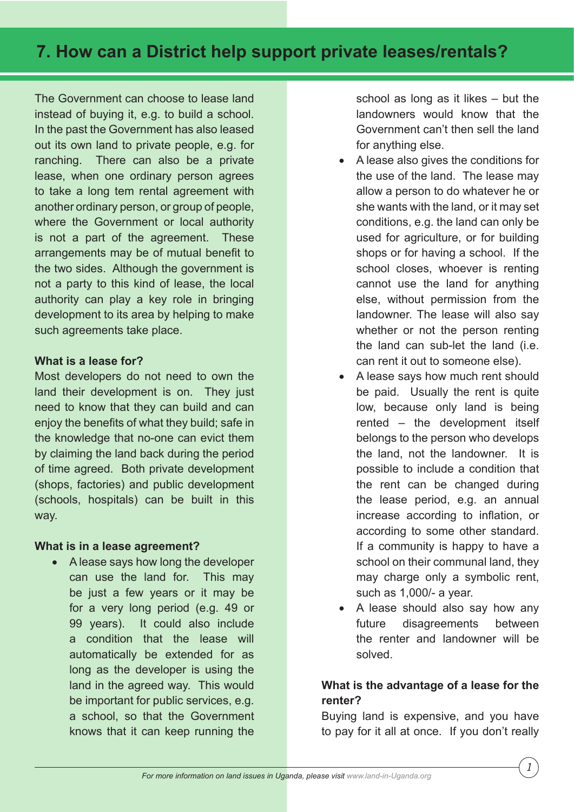# **7. How can a District help support private leases/rentals?**

The Government can choose to lease land instead of buying it, e.g. to build a school. In the past the Government has also leased out its own land to private people, e.g. for ranching. There can also be a private lease, when one ordinary person agrees to take a long tem rental agreement with another ordinary person, or group of people, where the Government or local authority is not a part of the agreement. These arrangements may be of mutual benefit to the two sides. Although the government is not a party to this kind of lease, the local authority can play a key role in bringing development to its area by helping to make such agreements take place.

#### **What is a lease for?**

Most developers do not need to own the land their development is on. They just need to know that they can build and can enjoy the benefits of what they build; safe in the knowledge that no-one can evict them by claiming the land back during the period of time agreed. Both private development (shops, factories) and public development (schools, hospitals) can be built in this way.

### **What is in a lease agreement?**

• A lease says how long the developer can use the land for. This may be just a few years or it may be for a very long period (e.g. 49 or 99 years). It could also include a condition that the lease will automatically be extended for as long as the developer is using the land in the agreed way. This would be important for public services, e.g. a school, so that the Government knows that it can keep running the

school as long as it likes – but the landowners would know that the Government can't then sell the land for anything else.

- A lease also gives the conditions for the use of the land. The lease may allow a person to do whatever he or she wants with the land, or it may set conditions, e.g. the land can only be used for agriculture, or for building shops or for having a school. If the school closes, whoever is renting cannot use the land for anything else, without permission from the landowner. The lease will also say whether or not the person renting the land can sub-let the land (i.e. can rent it out to someone else).
- A lease says how much rent should be paid. Usually the rent is quite low, because only land is being rented – the development itself belongs to the person who develops the land, not the landowner. It is possible to include a condition that the rent can be changed during the lease period, e.g. an annual increase according to inflation, or according to some other standard. If a community is happy to have a school on their communal land, they may charge only a symbolic rent, such as 1,000/- a year.
- A lease should also say how any future disagreements between the renter and landowner will be solved.

## **What is the advantage of a lease for the renter?**

Buying land is expensive, and you have to pay for it all at once. If you don't really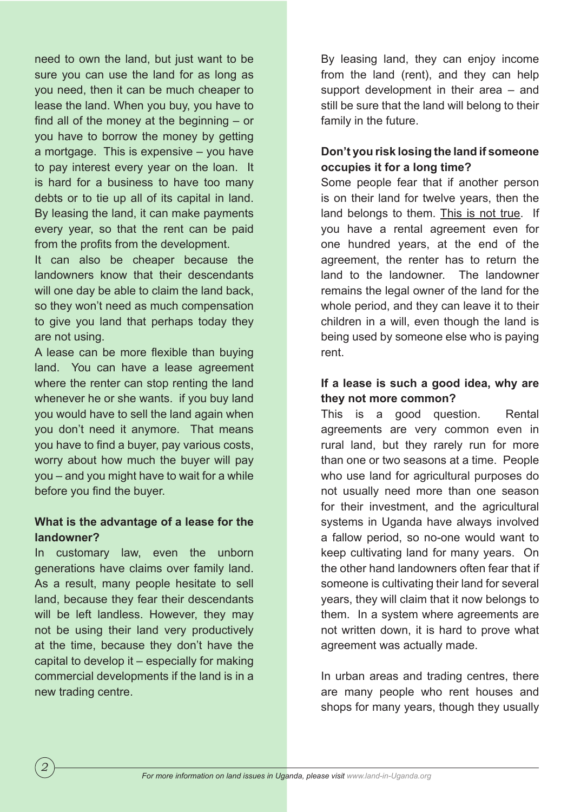need to own the land, but just want to be sure you can use the land for as long as you need, then it can be much cheaper to lease the land. When you buy, you have to find all of the money at the beginning  $-$  or you have to borrow the money by getting a mortgage. This is expensive – you have to pay interest every year on the loan. It is hard for a business to have too many debts or to tie up all of its capital in land. By leasing the land, it can make payments every year, so that the rent can be paid from the profits from the development.

It can also be cheaper because the landowners know that their descendants will one day be able to claim the land back. so they won't need as much compensation to give you land that perhaps today they are not using.

A lease can be more flexible than buying land. You can have a lease agreement where the renter can stop renting the land whenever he or she wants. if you buy land you would have to sell the land again when you don't need it anymore. That means you have to find a buyer, pay various costs, worry about how much the buyer will pay you – and you might have to wait for a while before you find the buyer.

## **What is the advantage of a lease for the landowner?**

In customary law, even the unborn generations have claims over family land. As a result, many people hesitate to sell land, because they fear their descendants will be left landless. However, they may not be using their land very productively at the time, because they don't have the capital to develop it – especially for making commercial developments if the land is in a new trading centre.

*2*

By leasing land, they can enjoy income from the land (rent), and they can help support development in their area – and still be sure that the land will belong to their family in the future.

# **Don't you risk losing the land if someone occupies it for a long time?**

Some people fear that if another person is on their land for twelve years, then the land belongs to them. This is not true. If you have a rental agreement even for one hundred years, at the end of the agreement, the renter has to return the land to the landowner. The landowner remains the legal owner of the land for the whole period, and they can leave it to their children in a will, even though the land is being used by someone else who is paying rent.

# **If a lease is such a good idea, why are they not more common?**

This is a good question. Rental agreements are very common even in rural land, but they rarely run for more than one or two seasons at a time. People who use land for agricultural purposes do not usually need more than one season for their investment, and the agricultural systems in Uganda have always involved a fallow period, so no-one would want to keep cultivating land for many years. On the other hand landowners often fear that if someone is cultivating their land for several years, they will claim that it now belongs to them. In a system where agreements are not written down, it is hard to prove what agreement was actually made.

In urban areas and trading centres, there are many people who rent houses and shops for many years, though they usually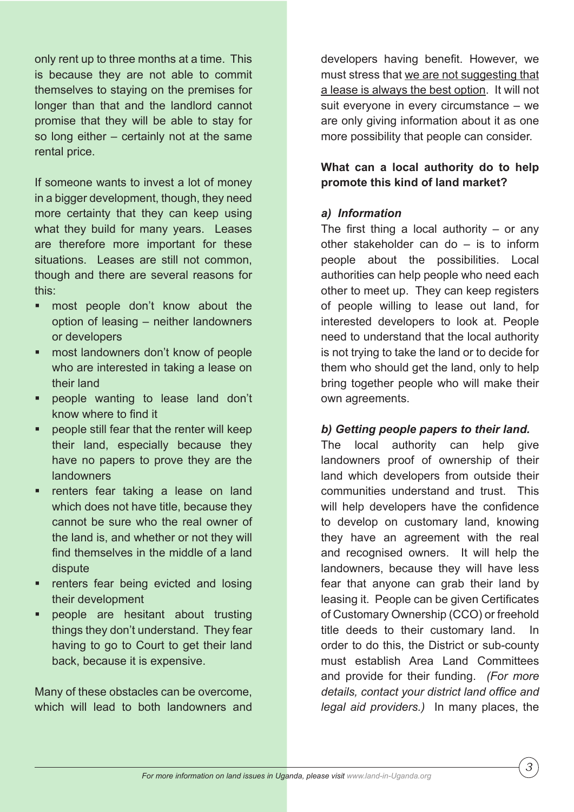only rent up to three months at a time. This is because they are not able to commit themselves to staying on the premises for longer than that and the landlord cannot promise that they will be able to stay for so long either – certainly not at the same rental price.

If someone wants to invest a lot of money in a bigger development, though, they need more certainty that they can keep using what they build for many years. Leases are therefore more important for these situations. Leases are still not common, though and there are several reasons for this:

- most people don't know about the option of leasing – neither landowners or developers
- § most landowners don't know of people who are interested in taking a lease on their land
- § people wanting to lease land don't know where to find it
- § people still fear that the renter will keep their land, especially because they have no papers to prove they are the landowners
- renters fear taking a lease on land which does not have title, because they cannot be sure who the real owner of the land is, and whether or not they will find themselves in the middle of a land dispute
- renters fear being evicted and losing their development
- § people are hesitant about trusting things they don't understand. They fear having to go to Court to get their land back, because it is expensive.

Many of these obstacles can be overcome, which will lead to both landowners and

developers having benefit. However, we must stress that we are not suggesting that a lease is always the best option. It will not suit everyone in every circumstance – we are only giving information about it as one more possibility that people can consider.

**What can a local authority do to help promote this kind of land market?**

## *a) Information*

The first thing a local authority  $-$  or any other stakeholder can do – is to inform people about the possibilities. Local authorities can help people who need each other to meet up. They can keep registers of people willing to lease out land, for interested developers to look at. People need to understand that the local authority is not trying to take the land or to decide for them who should get the land, only to help bring together people who will make their own agreements.

## *b) Getting people papers to their land.*

The local authority can help give landowners proof of ownership of their land which developers from outside their communities understand and trust. This will help developers have the confidence to develop on customary land, knowing they have an agreement with the real and recognised owners. It will help the landowners, because they will have less fear that anyone can grab their land by leasing it. People can be given Certificates of Customary Ownership (CCO) or freehold title deeds to their customary land. In order to do this, the District or sub-county must establish Area Land Committees and provide for their funding. *(For more*  details, contact your district land office and *legal aid providers.)* In many places, the